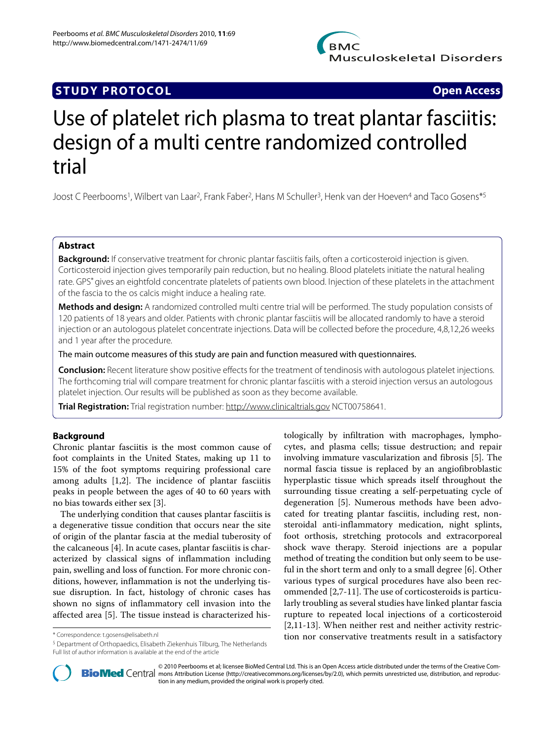

## **STUDY PROTOCOL Open Access**

# Use of platelet rich plasma to treat plantar fasciitis: design of a multi centre randomized controlled trial

Joost C Peerbooms1, Wilbert van Laar2, Frank Faber2, Hans M Schuller3, Henk van der Hoeven4 and Taco Gosens\*5

## **Abstract**

**Background:** If conservative treatment for chronic plantar fasciitis fails, often a corticosteroid injection is given. Corticosteroid injection gives temporarily pain reduction, but no healing. Blood platelets initiate the natural healing rate. GPS® gives an eightfold concentrate platelets of patients own blood. Injection of these platelets in the attachment of the fascia to the os calcis might induce a healing rate.

**Methods and design:** A randomized controlled multi centre trial will be performed. The study population consists of 120 patients of 18 years and older. Patients with chronic plantar fasciitis will be allocated randomly to have a steroid injection or an autologous platelet concentrate injections. Data will be collected before the procedure, 4,8,12,26 weeks and 1 year after the procedure.

The main outcome measures of this study are pain and function measured with questionnaires.

**Conclusion:** Recent literature show positive effects for the treatment of tendinosis with autologous platelet injections. The forthcoming trial will compare treatment for chronic plantar fasciitis with a steroid injection versus an autologous platelet injection. Our results will be published as soon as they become available.

**Trial Registration:** Trial registration number:<http://www.clinicaltrials.gov> NCT00758641.

## **Background**

Chronic plantar fasciitis is the most common cause of foot complaints in the United States, making up 11 to 15% of the foot symptoms requiring professional care among adults [\[1](#page-3-0)[,2](#page-3-1)]. The incidence of plantar fasciitis peaks in people between the ages of 40 to 60 years with no bias towards either sex [[3\]](#page-3-2).

The underlying condition that causes plantar fasciitis is a degenerative tissue condition that occurs near the site of origin of the plantar fascia at the medial tuberosity of the calcaneous [\[4](#page-3-3)]. In acute cases, plantar fasciitis is characterized by classical signs of inflammation including pain, swelling and loss of function. For more chronic conditions, however, inflammation is not the underlying tissue disruption. In fact, histology of chronic cases has shown no signs of inflammatory cell invasion into the affected area [[5](#page-4-0)]. The tissue instead is characterized his-

5 Department of Orthopaedics, Elisabeth Ziekenhuis Tilburg, The Netherlands Full list of author information is available at the end of the article

tologically by infiltration with macrophages, lymphocytes, and plasma cells; tissue destruction; and repair involving immature vascularization and fibrosis [[5\]](#page-4-0). The normal fascia tissue is replaced by an angiofibroblastic hyperplastic tissue which spreads itself throughout the surrounding tissue creating a self-perpetuating cycle of degeneration [[5\]](#page-4-0). Numerous methods have been advocated for treating plantar fasciitis, including rest, nonsteroidal anti-inflammatory medication, night splints, foot orthosis, stretching protocols and extracorporeal shock wave therapy. Steroid injections are a popular method of treating the condition but only seem to be useful in the short term and only to a small degree [\[6](#page-4-1)]. Other various types of surgical procedures have also been recommended [[2,](#page-3-1)[7](#page-4-2)[-11](#page-4-3)]. The use of corticosteroids is particularly troubling as several studies have linked plantar fascia rupture to repeated local injections of a corticosteroid [[2,](#page-3-1)[11](#page-4-3)[-13](#page-4-4)]. When neither rest and neither activity restriction nor conservative treatments result in a satisfactory \* Correspondence: t.gosens@elisabeth.nl



© 2010 Peerbooms et al; licensee [BioMed](http://www.biomedcentral.com/) Central Ltd. This is an Open Access article distributed under the terms of the Creative Com-<br>-Bio Med Central mons Attribution License (http://creativecommons.org/licenses/by/2.0), w tion in any medium, provided the original work is properly cited.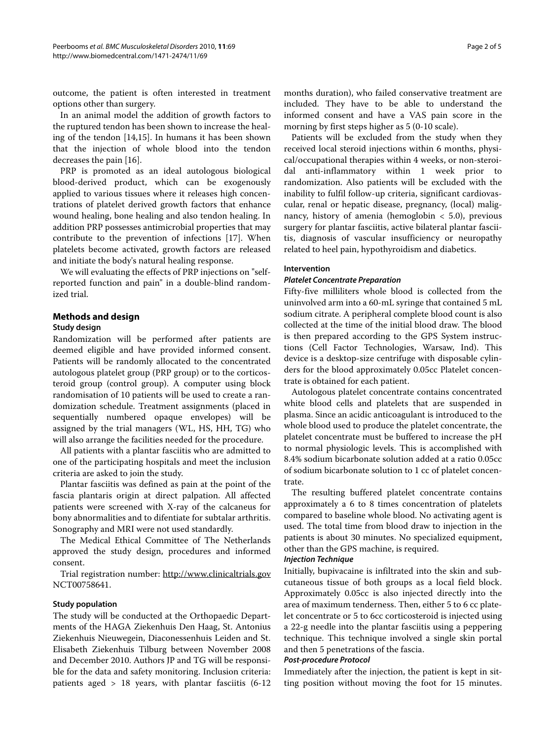outcome, the patient is often interested in treatment options other than surgery.

In an animal model the addition of growth factors to the ruptured tendon has been shown to increase the healing of the tendon [[14,](#page-4-5)[15\]](#page-4-6). In humans it has been shown that the injection of whole blood into the tendon decreases the pain [[16\]](#page-4-7).

PRP is promoted as an ideal autologous biological blood-derived product, which can be exogenously applied to various tissues where it releases high concentrations of platelet derived growth factors that enhance wound healing, bone healing and also tendon healing. In addition PRP possesses antimicrobial properties that may contribute to the prevention of infections [\[17](#page-4-8)]. When platelets become activated, growth factors are released and initiate the body's natural healing response.

We will evaluating the effects of PRP injections on "selfreported function and pain" in a double-blind randomized trial.

## **Methods and design**

#### **Study design**

Randomization will be performed after patients are deemed eligible and have provided informed consent. Patients will be randomly allocated to the concentrated autologous platelet group (PRP group) or to the corticosteroid group (control group). A computer using block randomisation of 10 patients will be used to create a randomization schedule. Treatment assignments (placed in sequentially numbered opaque envelopes) will be assigned by the trial managers (WL, HS, HH, TG) who will also arrange the facilities needed for the procedure.

All patients with a plantar fasciitis who are admitted to one of the participating hospitals and meet the inclusion criteria are asked to join the study.

Plantar fasciitis was defined as pain at the point of the fascia plantaris origin at direct palpation. All affected patients were screened with X-ray of the calcaneus for bony abnormalities and to difentiate for subtalar arthritis. Sonography and MRI were not used standardly.

The Medical Ethical Committee of The Netherlands approved the study design, procedures and informed consent.

Trial registration number: <http://www.clinicaltrials.gov> NCT00758641.

## **Study population**

The study will be conducted at the Orthopaedic Departments of the HAGA Ziekenhuis Den Haag, St. Antonius Ziekenhuis Nieuwegein, Diaconessenhuis Leiden and St. Elisabeth Ziekenhuis Tilburg between November 2008 and December 2010. Authors JP and TG will be responsible for the data and safety monitoring. Inclusion criteria: patients aged  $> 18$  years, with plantar fasciitis  $(6-12)$ 

months duration), who failed conservative treatment are included. They have to be able to understand the informed consent and have a VAS pain score in the morning by first steps higher as 5 (0-10 scale).

Patients will be excluded from the study when they received local steroid injections within 6 months, physical/occupational therapies within 4 weeks, or non-steroidal anti-inflammatory within 1 week prior to randomization. Also patients will be excluded with the inability to fulfil follow-up criteria, significant cardiovascular, renal or hepatic disease, pregnancy, (local) malignancy, history of amenia (hemoglobin  $<$  5.0), previous surgery for plantar fasciitis, active bilateral plantar fasciitis, diagnosis of vascular insufficiency or neuropathy related to heel pain, hypothyroidism and diabetics.

#### **Intervention**

#### **Platelet Concentrate Preparation**

Fifty-five milliliters whole blood is collected from the uninvolved arm into a 60-mL syringe that contained 5 mL sodium citrate. A peripheral complete blood count is also collected at the time of the initial blood draw. The blood is then prepared according to the GPS System instructions (Cell Factor Technologies, Warsaw, Ind). This device is a desktop-size centrifuge with disposable cylinders for the blood approximately 0.05cc Platelet concentrate is obtained for each patient.

Autologous platelet concentrate contains concentrated white blood cells and platelets that are suspended in plasma. Since an acidic anticoagulant is introduced to the whole blood used to produce the platelet concentrate, the platelet concentrate must be buffered to increase the pH to normal physiologic levels. This is accomplished with 8.4% sodium bicarbonate solution added at a ratio 0.05cc of sodium bicarbonate solution to 1 cc of platelet concentrate.

The resulting buffered platelet concentrate contains approximately a 6 to 8 times concentration of platelets compared to baseline whole blood. No activating agent is used. The total time from blood draw to injection in the patients is about 30 minutes. No specialized equipment, other than the GPS machine, is required.

#### **Injection Technique**

Initially, bupivacaine is infiltrated into the skin and subcutaneous tissue of both groups as a local field block. Approximately 0.05cc is also injected directly into the area of maximum tenderness. Then, either 5 to 6 cc platelet concentrate or 5 to 6cc corticosteroid is injected using a 22-g needle into the plantar fasciitis using a peppering technique. This technique involved a single skin portal and then 5 penetrations of the fascia.

## **Post-procedure Protocol**

Immediately after the injection, the patient is kept in sitting position without moving the foot for 15 minutes.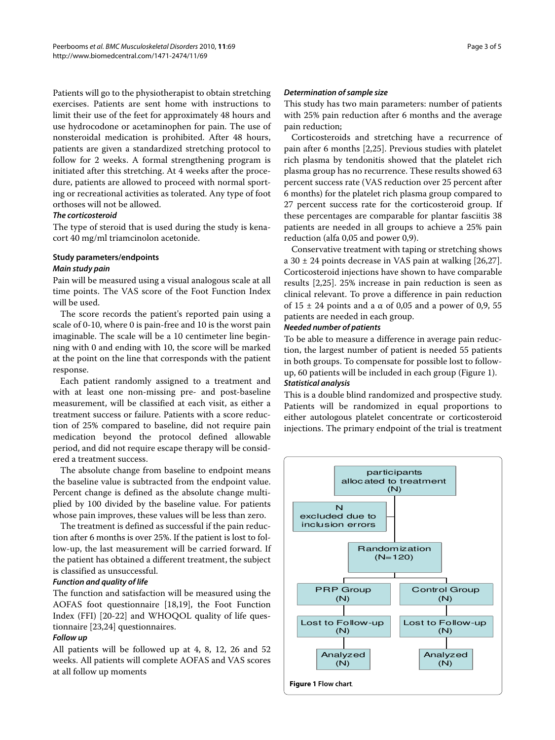Patients will go to the physiotherapist to obtain stretching exercises. Patients are sent home with instructions to limit their use of the feet for approximately 48 hours and use hydrocodone or acetaminophen for pain. The use of nonsteroidal medication is prohibited. After 48 hours, patients are given a standardized stretching protocol to follow for 2 weeks. A formal strengthening program is initiated after this stretching. At 4 weeks after the procedure, patients are allowed to proceed with normal sporting or recreational activities as tolerated. Any type of foot orthoses will not be allowed.

## **The corticosteroid**

The type of steroid that is used during the study is kenacort 40 mg/ml triamcinolon acetonide.

## **Study parameters/endpoints**

## **Main study pain**

Pain will be measured using a visual analogous scale at all time points. The VAS score of the Foot Function Index will be used.

The score records the patient's reported pain using a scale of 0-10, where 0 is pain-free and 10 is the worst pain imaginable. The scale will be a 10 centimeter line beginning with 0 and ending with 10, the score will be marked at the point on the line that corresponds with the patient response.

Each patient randomly assigned to a treatment and with at least one non-missing pre- and post-baseline measurement, will be classified at each visit, as either a treatment success or failure. Patients with a score reduction of 25% compared to baseline, did not require pain medication beyond the protocol defined allowable period, and did not require escape therapy will be considered a treatment success.

The absolute change from baseline to endpoint means the baseline value is subtracted from the endpoint value. Percent change is defined as the absolute change multiplied by 100 divided by the baseline value. For patients whose pain improves, these values will be less than zero.

The treatment is defined as successful if the pain reduction after 6 months is over 25%. If the patient is lost to follow-up, the last measurement will be carried forward. If the patient has obtained a different treatment, the subject is classified as unsuccessful.

## **Function and quality of life**

The function and satisfaction will be measured using the AOFAS foot questionnaire [\[18](#page-4-9)[,19](#page-4-10)], the Foot Function Index (FFI) [\[20-](#page-4-11)[22](#page-4-12)] and WHOQOL quality of life questionnaire [\[23](#page-4-13)[,24](#page-4-14)] questionnaires.

## **Follow up**

All patients will be followed up at 4, 8, 12, 26 and 52 weeks. All patients will complete AOFAS and VAS scores at all follow up moments

## **Determination of sample size**

This study has two main parameters: number of patients with 25% pain reduction after 6 months and the average pain reduction;

Corticosteroids and stretching have a recurrence of pain after 6 months [\[2](#page-3-1)[,25](#page-4-15)]. Previous studies with platelet rich plasma by tendonitis showed that the platelet rich plasma group has no recurrence. These results showed 63 percent success rate (VAS reduction over 25 percent after 6 months) for the platelet rich plasma group compared to 27 percent success rate for the corticosteroid group. If these percentages are comparable for plantar fasciitis 38 patients are needed in all groups to achieve a 25% pain reduction (alfa 0,05 and power 0,9).

Conservative treatment with taping or stretching shows a  $30 \pm 24$  points decrease in VAS pain at walking [\[26](#page-4-16)[,27](#page-4-17)]. Corticosteroid injections have shown to have comparable results [[2](#page-3-1),[25\]](#page-4-15). 25% increase in pain reduction is seen as clinical relevant. To prove a difference in pain reduction of  $15 \pm 24$  points and a  $\alpha$  of 0,05 and a power of 0,9, 55 patients are needed in each group.

## **Needed number of patients**

To be able to measure a difference in average pain reduction, the largest number of patient is needed 55 patients in both groups. To compensate for possible lost to followup, 60 patients will be included in each group (Figure [1\)](#page-2-0). **Statistical analysis**

This is a double blind randomized and prospective study. Patients will be randomized in equal proportions to either autologous platelet concentrate or corticosteroid injections. The primary endpoint of the trial is treatment

<span id="page-2-0"></span>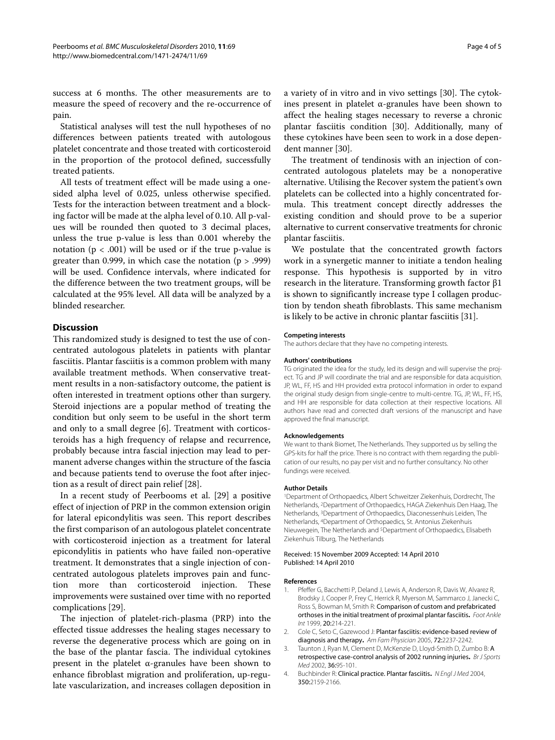success at 6 months. The other measurements are to measure the speed of recovery and the re-occurrence of pain.

Statistical analyses will test the null hypotheses of no differences between patients treated with autologous platelet concentrate and those treated with corticosteroid in the proportion of the protocol defined, successfully treated patients.

All tests of treatment effect will be made using a onesided alpha level of 0.025, unless otherwise specified. Tests for the interaction between treatment and a blocking factor will be made at the alpha level of 0.10. All p-values will be rounded then quoted to 3 decimal places, unless the true p-value is less than 0.001 whereby the notation ( $p < .001$ ) will be used or if the true p-value is greater than 0.999, in which case the notation  $(p > .999)$ will be used. Confidence intervals, where indicated for the difference between the two treatment groups, will be calculated at the 95% level. All data will be analyzed by a blinded researcher.

## **Discussion**

This randomized study is designed to test the use of concentrated autologous platelets in patients with plantar fasciitis. Plantar fasciitis is a common problem with many available treatment methods. When conservative treatment results in a non-satisfactory outcome, the patient is often interested in treatment options other than surgery. Steroid injections are a popular method of treating the condition but only seem to be useful in the short term and only to a small degree [\[6](#page-4-1)]. Treatment with corticosteroids has a high frequency of relapse and recurrence, probably because intra fascial injection may lead to permanent adverse changes within the structure of the fascia and because patients tend to overuse the foot after injection as a result of direct pain relief [\[28](#page-4-18)].

In a recent study of Peerbooms et al. [[29\]](#page-4-19) a positive effect of injection of PRP in the common extension origin for lateral epicondylitis was seen. This report describes the first comparison of an autologous platelet concentrate with corticosteroid injection as a treatment for lateral epicondylitis in patients who have failed non-operative treatment. It demonstrates that a single injection of concentrated autologous platelets improves pain and function more than corticosteroid injection. These improvements were sustained over time with no reported complications [\[29](#page-4-19)].

The injection of platelet-rich-plasma (PRP) into the effected tissue addresses the healing stages necessary to reverse the degenerative process which are going on in the base of the plantar fascia. The individual cytokines present in the platelet  $\alpha$ -granules have been shown to enhance fibroblast migration and proliferation, up-regulate vascularization, and increases collagen deposition in

a variety of in vitro and in vivo settings [\[30\]](#page-4-20). The cytokines present in platelet α-granules have been shown to affect the healing stages necessary to reverse a chronic plantar fasciitis condition [[30\]](#page-4-20). Additionally, many of these cytokines have been seen to work in a dose dependent manner [[30](#page-4-20)].

The treatment of tendinosis with an injection of concentrated autologous platelets may be a nonoperative alternative. Utilising the Recover system the patient's own platelets can be collected into a highly concentrated formula. This treatment concept directly addresses the existing condition and should prove to be a superior alternative to current conservative treatments for chronic plantar fasciitis.

We postulate that the concentrated growth factors work in a synergetic manner to initiate a tendon healing response. This hypothesis is supported by in vitro research in the literature. Transforming growth factor β1 is shown to significantly increase type I collagen production by tendon sheath fibroblasts. This same mechanism is likely to be active in chronic plantar fasciitis [[31\]](#page-4-21).

#### **Competing interests**

The authors declare that they have no competing interests.

#### **Authors' contributions**

TG originated the idea for the study, led its design and will supervise the project. TG and JP will coordinate the trial and are responsible for data acquisition. JP, WL, FF, HS and HH provided extra protocol information in order to expand the original study design from single-centre to multi-centre. TG, JP, WL, FF, HS, and HH are responsible for data collection at their respective locations. All authors have read and corrected draft versions of the manuscript and have approved the final manuscript.

#### **Acknowledgements**

We want to thank Biomet, The Netherlands. They supported us by selling the GPS-kits for half the price. There is no contract with them regarding the publication of our results, no pay per visit and no further consultancy. No other fundings were received.

#### **Author Details**

1Department of Orthopaedics, Albert Schweitzer Ziekenhuis, Dordrecht, The Netherlands, 2Department of Orthopaedics, HAGA Ziekenhuis Den Haag, The Netherlands, 3Department of Orthopaedics, Diaconessenhuis Leiden, The Netherlands, 4Department of Orthopaedics, St. Antonius Ziekenhuis Nieuwegein, The Netherlands and 5Department of Orthopaedics, Elisabeth Ziekenhuis Tilburg, The Netherlands

#### Received: 15 November 2009 Accepted: 14 April 2010 Published: 14 April 2010

#### **References**

- <span id="page-3-0"></span>1. Pfeffer G, Bacchetti P, Deland J, Lewis A, Anderson R, Davis W, Alvarez R, Brodsky J, Cooper P, Frey C, Herrick R, Myerson M, Sammarco J, Janecki C, Ross S, Bowman M, Smith R: Comparison of custom and prefabricated orthoses in the initial treatment of proximal plantar fasciitis**.** Foot Ankle Int 1999, 20:214-221.
- <span id="page-3-1"></span>2. Cole C, Seto C, Gazewood J: Plantar fasciitis: evidence-based review of diagnosis and therapy**.** Am Fam Physician 2005, 72:2237-2242.
- <span id="page-3-2"></span>3. Taunton J, Ryan M, Clement D, McKenzie D, Lloyd-Smith D, Zumbo B: A retrospective case-control analysis of 2002 running injuries**.** Br J Sports Med 2002, 36:95-101.
- <span id="page-3-3"></span>4. Buchbinder R: Clinical practice. Plantar fasciitis**[.](http://www.ncbi.nlm.nih.gov/entrez/query.fcgi?cmd=Retrieve&db=PubMed&dopt=Abstract&list_uids=15152061)** N Engl J Med 2004, 350:2159-2166.